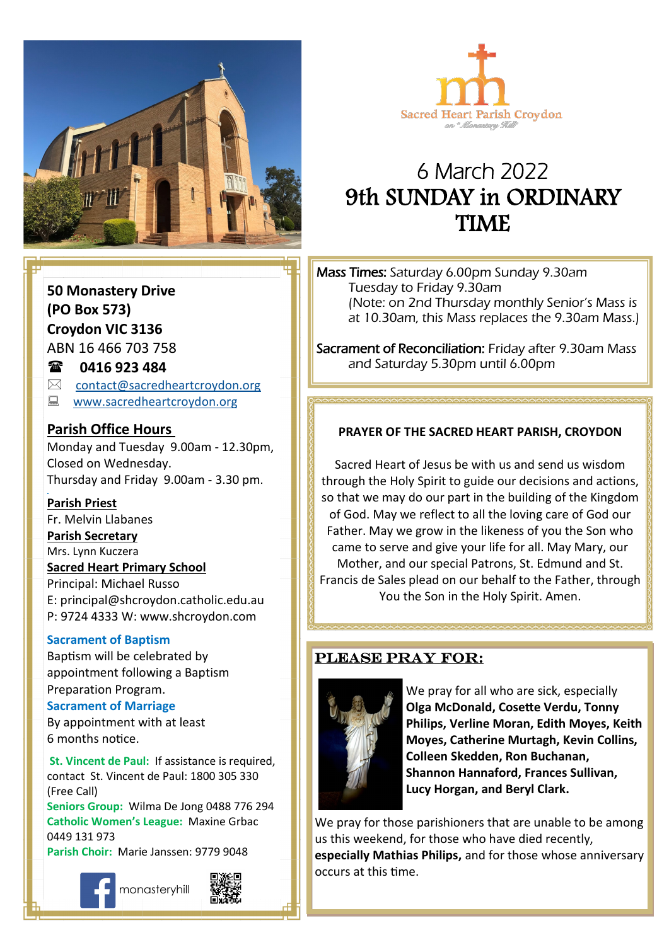



# 6 March 2022 9th SUNDAY in ORDINARY **TIME**

Mass Times: Saturday 6.00pm Sunday 9.30am Tuesday to Friday 9.30am (Note: on 2nd Thursday monthly Senior's Mass is at 10.30am, this Mass replaces the 9.30am Mass.)

Sacrament of Reconciliation: Friday after 9.30am Mass and Saturday 5.30pm until 6.00pm

## **Come, follow me. PRAYER OF THE SACRED HEART PARISH, CROYDON**

Sacred Heart of Jesus be with us and send us wisdom through the Holy Spirit to guide our decisions and actions, so that we may do our part in the building of the Kingdom of God. May we reflect to all the loving care of God our Father. May we grow in the likeness of you the Son who came to serve and give your life for all. May Mary, our Mother, and our special Patrons, St. Edmund and St. Francis de Sales plead on our behalf to the Father, through You the Son in the Holy Spirit. Amen.

#### Please pray for:



We pray for all who are sick, especially **Olga McDonald, Cosette Verdu, Tonny Philips, Verline Moran, Edith Moyes, Keith Moyes, Catherine Murtagh, Kevin Collins, Colleen Skedden, Ron Buchanan, Shannon Hannaford, Frances Sullivan, Lucy Horgan, and Beryl Clark.** 

We pray for those parishioners that are unable to be among us this weekend, for those who have died recently, **especially Mathias Philips,** and for those whose anniversary occurs at this time.

### **50 Monastery Drive (PO Box 573) Croydon VIC 3136**

ABN 16 466 703 758

#### **0416 923 484**

- $\boxtimes$  [contact@sacredheartcroydon.org](mailto:contact@sacredheartcroydon.org)
- **WWW.sacredheartcroydon.org**

#### **Parish Office Hours**

Monday and Tuesday 9.00am - 12.30pm, Closed on Wednesday. Thursday and Friday 9.00am - 3.30 pm.

#### **Parish Priest**

Fr. Melvin Llabanes

#### **Parish Secretary**

Mrs. Lynn Kuczera

#### **Sacred Heart Primary School**

Principal: Michael Russo E: principal@shcroydon.catholic.edu.au P: 9724 4333 W: www.shcroydon.com

#### **Sacrament of Baptism**

Baptism will be celebrated by appointment following a Baptism Preparation Program.

#### **Sacrament of Marriage**

By appointment with at least 6 months notice.

 **St. Vincent de Paul:** If assistance is required, contact St. Vincent de Paul: 1800 305 330 (Free Call)

**Seniors Group:** Wilma De Jong 0488 776 294 **Catholic Women's League:** Maxine Grbac 0449 131 973

**Parish Choir:** Marie Janssen: 9779 9048